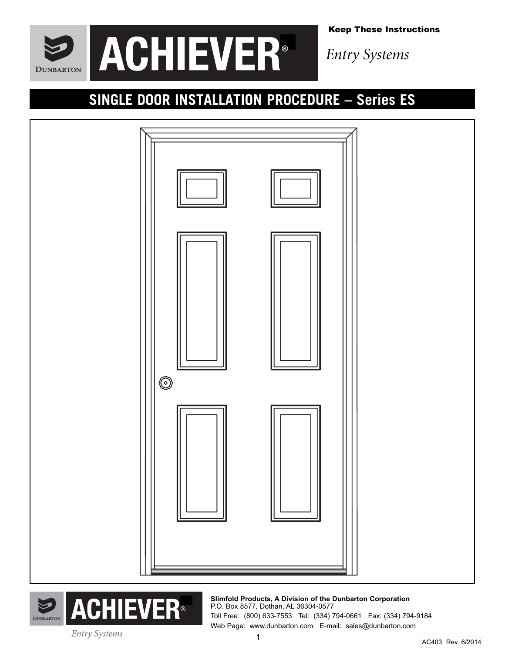

Keep These Instructions

*Entry Systems*

## **SINGLE DOOR INSTALLATION PROCEDURE – Series ES**





**Slimfold Products, A Division of the Dunbarton Corporation** P.O. Box 8577, Dothan, AL 36304-0577 Toll Free: (800) 633-7553 Tel: (334) 794-0661 Fax: (334) 794-9184 Web Page: www.dunbarton.com E-mail: sales@dunbarton.com

**Entry Systems**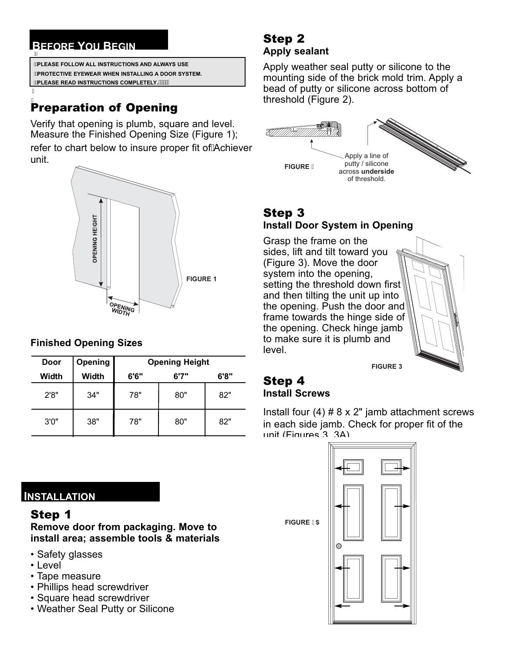### **BEFORE YOU BEGIN** ï

İ

**PLEASE FOLLOW ALL INSTRUCTIONS AND ALWAYS USE PROTECTIVE EYEWEAR WHEN INSTALLING A DOOR SYSTEM. PLEASE READ INSTRUCTIONS COMPLETELY.**

## **Preparation of Opening**

verify that opening is plumb, square and level. Measure the Finished Opening Size (Figure 1); refer to chart below to insure proper fit of Achiever unit.



### **Finished Opening Sizes**

| Door  | <b>Opening</b> | <b>Opening Height</b> |       |      |
|-------|----------------|-----------------------|-------|------|
| Width | Width          | 6'6"                  | 6'7'' | 6'8" |
| 2'8"  | 34"            | 78"                   | 80"   | 82"  |
| 3'0'' | 38"            | 78"                   | 80"   | 82"  |

**INSTALLATION**

### **Remove door from packaging. Move to install area; assemble tools & materials**

- Safety glasses
- Level
- Tape measure
- Phillips head screwdriver
- Square head screwdriver
- Weather Seal Putty or Silicone

## Step 2 **Apply sealant**

Apply weather seal putty or silicone to the mounting side of the brick mold trim. Apply a bead of putty or silicone across bottom of threshold (Figure 2).



## **Install Door System in Opening**

Grasp the frame on the sides, lift and tilt toward you (Figure 3). Move the door system into the opening, setting the threshold down first and then tilting the unit up into the opening. Push the door and frame towards the hinge side of the opening. Check hinge jamb to make sure it is plumb and level.

**FIGURE 3**

## Step 4 **Install Screws**

Install four  $(4)$  # 8 x 2" jamb attachment screws in each side jamb. Check for proper fit of the unit (Figures 3, 3A).

**FIGURE ' 5** 

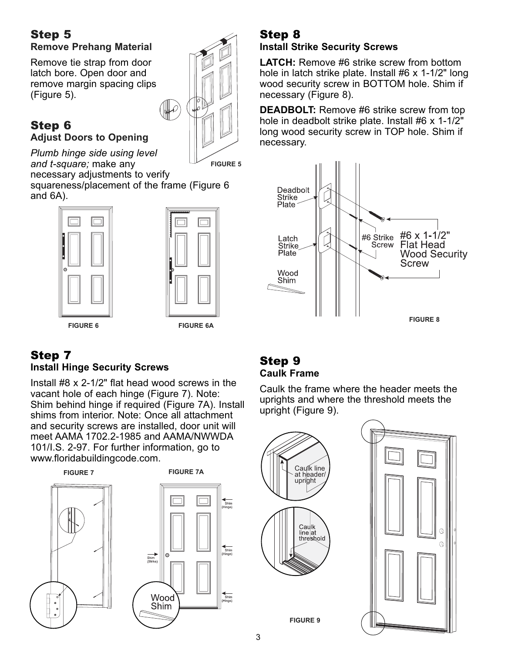## **Remove Prehang Material**

Remove tie strap from door latch bore. Open door and remove margin spacing clips (Figure 5).

# Adjust Doors to Opening

*Plumb hinge side using level and t-square;* make any

necessary adjustments to verify

squareness/placement of the frame (Figure 6 and 6A).





 $\mathcal{P}$ 

**FIGURE 5**

**FIGURE 6 FIGURE 6A**

# **Install Hinge Security Screws**

Install #8 x 2-1/2" flat head wood screws in the vacant hole of each hinge (Figure 7). Note: Shim behind hinge if required (Figure 7A). Install shims from interior. Note: Once all attachment and security screws are installed, door unit will meet AAMA 1702.2-1985 and AAMA/NWWDA 101/I.S. 2-97. For further information, go to www.floridabuildingcode.com.





Wood Shim

**FIGURE 7A**

## Step 8 **Install Strike Security Screws**

**LATCH:** Remove #6 strike screw from bottom hole in latch strike plate. Install #6 x 1-1/2" long wood security screw in BOTTOM hole. Shim if necessary (Figure 8).

**DEADBOLT:** Remove #6 strike screw from top hole in deadbolt strike plate. Install #6 x 1-1/2" long wood security screw in TOP hole. Shim if necessary.



# Step 9 **Caulk Frame**

Caulk the frame where the header meets the uprights and where the threshold meets the upright (Figure 9).